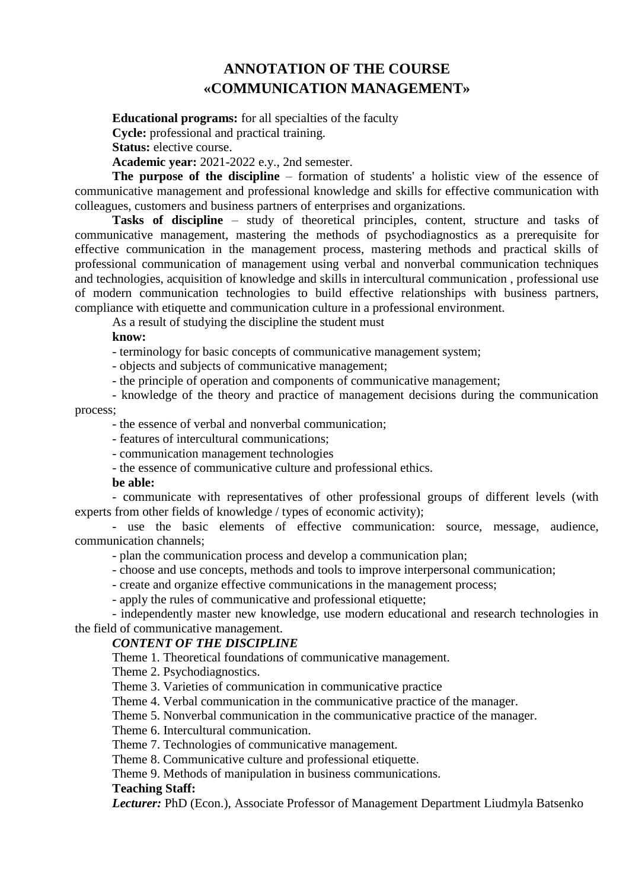# **ANNOTATION OF THE COURSE [«COMMUNICATION](https://cdn.snau.edu.ua/moodle/mod/glossary/showentry.php?eid=90076&displayformat=dictionary) MANAGEMENT»**

**Educational programs:** for all specialties of the faculty

**Cycle:** professional and practical training.

**Status:** elective course.

**Academic year:** 2021-2022 e.y., 2nd semester.

**The purpose of the discipline** – formation of students' a holistic view of the essence of communicative management and professional knowledge and skills for effective communication with colleagues, customers and business partners of enterprises and organizations.

**Tasks of discipline** – study of theoretical principles, content, structure and tasks of communicative management, mastering the methods of psychodiagnostics as a prerequisite for effective communication in the management process, mastering methods and practical skills of professional communication of management using verbal and nonverbal communication techniques and technologies, acquisition of knowledge and skills in intercultural communication , professional use of modern communication technologies to build effective relationships with business partners, compliance with etiquette and communication culture in a professional environment.

As a result of studying the discipline the student must

### **know:**

- terminology for basic concepts of communicative management system;

- objects and subjects of communicative management;

- the principle of operation and components of communicative management;

- knowledge of the theory and practice of management decisions during the communication

process;

- the essence of verbal and nonverbal communication;

- features of intercultural communications;

- communication management technologies

- the essence of communicative culture and professional ethics.

### **be able:**

- communicate with representatives of other professional groups of different levels (with experts from other fields of knowledge / types of economic activity);

- use the basic elements of effective communication: source, message, audience, communication channels;

- plan the communication process and develop a communication plan;

- choose and use concepts, methods and tools to improve interpersonal communication;

- create and organize effective communications in the management process;

- apply the rules of communicative and professional etiquette;

- independently master new knowledge, use modern educational and research technologies in the field of communicative management.

## *CONTENT OF THE DISCIPLINE*

Theme 1. Theoretical foundations of communicative management.

Theme 2. Psychodiagnostics.

Theme 3. Varieties of communication in communicative practice

Theme 4. Verbal communication in the communicative practice of the manager.

Theme 5. Nonverbal communication in the communicative practice of the manager.

Theme 6. Intercultural communication.

Theme 7. Technologies of communicative management.

Theme 8. Communicative culture and professional etiquette.

Theme 9. Methods of manipulation in business communications.

### **Teaching Staff:**

*Lecturer:* PhD (Econ.), Associate Professor of Management Department Liudmyla Batsenko